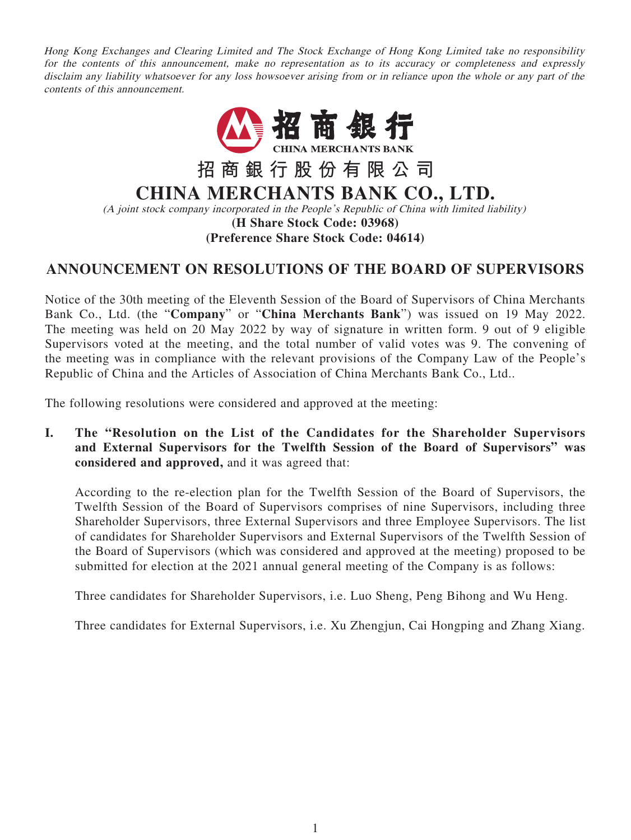Hong Kong Exchanges and Clearing Limited and The Stock Exchange of Hong Kong Limited take no responsibility for the contents of this announcement, make no representation as to its accuracy or completeness and expressly disclaim any liability whatsoever for any loss howsoever arising from or in reliance upon the whole or any part of the contents of this announcement.



# **ANNOUNCEMENT ON RESOLUTIONS OF THE BOARD OF SUPERVISORS**

Notice of the 30th meeting of the Eleventh Session of the Board of Supervisors of China Merchants Bank Co., Ltd. (the "**Company**" or "**China Merchants Bank**") was issued on 19 May 2022. The meeting was held on 20 May 2022 by way of signature in written form. 9 out of 9 eligible Supervisors voted at the meeting, and the total number of valid votes was 9. The convening of the meeting was in compliance with the relevant provisions of the Company Law of the People's Republic of China and the Articles of Association of China Merchants Bank Co., Ltd..

The following resolutions were considered and approved at the meeting:

**I. The "Resolution on the List of the Candidates for the Shareholder Supervisors and External Supervisors for the Twelfth Session of the Board of Supervisors" was considered and approved,** and it was agreed that:

According to the re-election plan for the Twelfth Session of the Board of Supervisors, the Twelfth Session of the Board of Supervisors comprises of nine Supervisors, including three Shareholder Supervisors, three External Supervisors and three Employee Supervisors. The list of candidates for Shareholder Supervisors and External Supervisors of the Twelfth Session of the Board of Supervisors (which was considered and approved at the meeting) proposed to be submitted for election at the 2021 annual general meeting of the Company is as follows:

Three candidates for Shareholder Supervisors, i.e. Luo Sheng, Peng Bihong and Wu Heng.

Three candidates for External Supervisors, i.e. Xu Zhengjun, Cai Hongping and Zhang Xiang.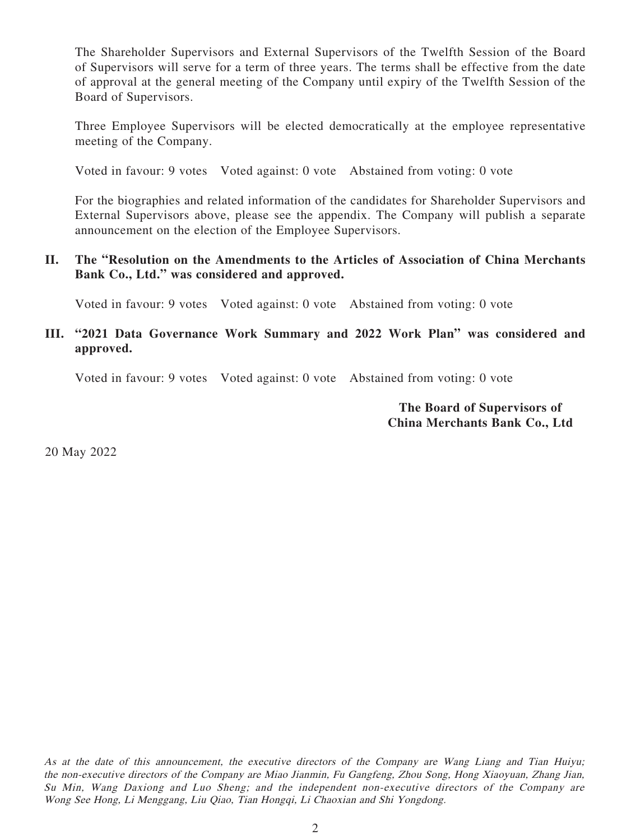The Shareholder Supervisors and External Supervisors of the Twelfth Session of the Board of Supervisors will serve for a term of three years. The terms shall be effective from the date of approval at the general meeting of the Company until expiry of the Twelfth Session of the Board of Supervisors.

Three Employee Supervisors will be elected democratically at the employee representative meeting of the Company.

Voted in favour: 9 votes Voted against: 0 vote Abstained from voting: 0 vote

For the biographies and related information of the candidates for Shareholder Supervisors and External Supervisors above, please see the appendix. The Company will publish a separate announcement on the election of the Employee Supervisors.

### **II. The "Resolution on the Amendments to the Articles of Association of China Merchants Bank Co., Ltd." was considered and approved.**

Voted in favour: 9 votes Voted against: 0 vote Abstained from voting: 0 vote

## **III. "2021 Data Governance Work Summary and 2022 Work Plan" was considered and approved.**

Voted in favour: 9 votes Voted against: 0 vote Abstained from voting: 0 vote

#### **The Board of Supervisors of China Merchants Bank Co., Ltd**

20 May 2022

As at the date of this announcement, the executive directors of the Company are Wang Liang and Tian Huiyu; the non-executive directors of the Company are Miao Jianmin, Fu Gangfeng, Zhou Song, Hong Xiaoyuan, Zhang Jian, Su Min, Wang Daxiong and Luo Sheng; and the independent non-executive directors of the Company are Wong See Hong, Li Menggang, Liu Qiao, Tian Hongqi, Li Chaoxian and Shi Yongdong.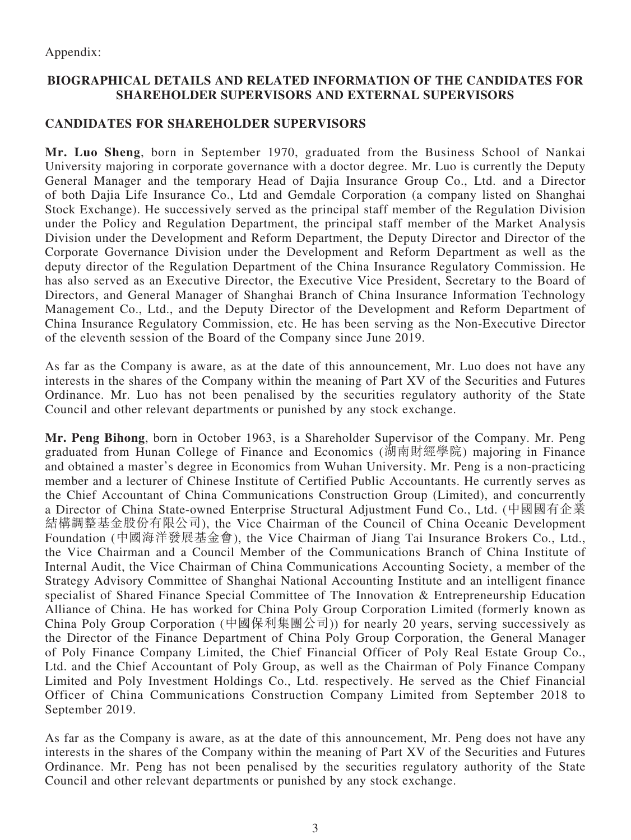Appendix:

### **BIOGRAPHICAL DETAILS AND RELATED INFORMATION OF THE CANDIDATES FOR SHAREHOLDER SUPERVISORS AND EXTERNAL SUPERVISORS**

## **CANDIDATES FOR SHAREHOLDER SUPERVISORS**

**Mr. Luo Sheng**, born in September 1970, graduated from the Business School of Nankai University majoring in corporate governance with a doctor degree. Mr. Luo is currently the Deputy General Manager and the temporary Head of Dajia Insurance Group Co., Ltd. and a Director of both Dajia Life Insurance Co., Ltd and Gemdale Corporation (a company listed on Shanghai Stock Exchange). He successively served as the principal staff member of the Regulation Division under the Policy and Regulation Department, the principal staff member of the Market Analysis Division under the Development and Reform Department, the Deputy Director and Director of the Corporate Governance Division under the Development and Reform Department as well as the deputy director of the Regulation Department of the China Insurance Regulatory Commission. He has also served as an Executive Director, the Executive Vice President, Secretary to the Board of Directors, and General Manager of Shanghai Branch of China Insurance Information Technology Management Co., Ltd., and the Deputy Director of the Development and Reform Department of China Insurance Regulatory Commission, etc. He has been serving as the Non-Executive Director of the eleventh session of the Board of the Company since June 2019.

As far as the Company is aware, as at the date of this announcement, Mr. Luo does not have any interests in the shares of the Company within the meaning of Part XV of the Securities and Futures Ordinance. Mr. Luo has not been penalised by the securities regulatory authority of the State Council and other relevant departments or punished by any stock exchange.

**Mr. Peng Bihong**, born in October 1963, is a Shareholder Supervisor of the Company. Mr. Peng graduated from Hunan College of Finance and Economics (湖南財經學院) majoring in Finance and obtained a master's degree in Economics from Wuhan University. Mr. Peng is a non-practicing member and a lecturer of Chinese Institute of Certified Public Accountants. He currently serves as the Chief Accountant of China Communications Construction Group (Limited), and concurrently a Director of China State-owned Enterprise Structural Adjustment Fund Co., Ltd. (中國國有企業 結構調整基金股份有限公司), the Vice Chairman of the Council of China Oceanic Development Foundation (中國海洋發展基金會), the Vice Chairman of Jiang Tai Insurance Brokers Co., Ltd., the Vice Chairman and a Council Member of the Communications Branch of China Institute of Internal Audit, the Vice Chairman of China Communications Accounting Society, a member of the Strategy Advisory Committee of Shanghai National Accounting Institute and an intelligent finance specialist of Shared Finance Special Committee of The Innovation & Entrepreneurship Education Alliance of China. He has worked for China Poly Group Corporation Limited (formerly known as China Poly Group Corporation (中國保利集團公司)) for nearly 20 years, serving successively as the Director of the Finance Department of China Poly Group Corporation, the General Manager of Poly Finance Company Limited, the Chief Financial Officer of Poly Real Estate Group Co., Ltd. and the Chief Accountant of Poly Group, as well as the Chairman of Poly Finance Company Limited and Poly Investment Holdings Co., Ltd. respectively. He served as the Chief Financial Officer of China Communications Construction Company Limited from September 2018 to September 2019.

As far as the Company is aware, as at the date of this announcement, Mr. Peng does not have any interests in the shares of the Company within the meaning of Part XV of the Securities and Futures Ordinance. Mr. Peng has not been penalised by the securities regulatory authority of the State Council and other relevant departments or punished by any stock exchange.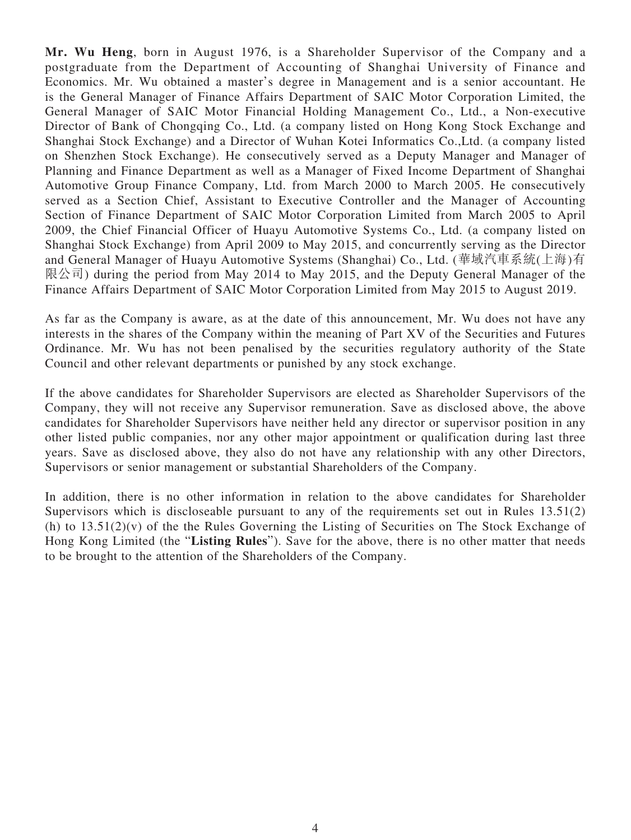**Mr. Wu Heng**, born in August 1976, is a Shareholder Supervisor of the Company and a postgraduate from the Department of Accounting of Shanghai University of Finance and Economics. Mr. Wu obtained a master's degree in Management and is a senior accountant. He is the General Manager of Finance Affairs Department of SAIC Motor Corporation Limited, the General Manager of SAIC Motor Financial Holding Management Co., Ltd., a Non-executive Director of Bank of Chongqing Co., Ltd. (a company listed on Hong Kong Stock Exchange and Shanghai Stock Exchange) and a Director of Wuhan Kotei Informatics Co.,Ltd. (a company listed on Shenzhen Stock Exchange). He consecutively served as a Deputy Manager and Manager of Planning and Finance Department as well as a Manager of Fixed Income Department of Shanghai Automotive Group Finance Company, Ltd. from March 2000 to March 2005. He consecutively served as a Section Chief, Assistant to Executive Controller and the Manager of Accounting Section of Finance Department of SAIC Motor Corporation Limited from March 2005 to April 2009, the Chief Financial Officer of Huayu Automotive Systems Co., Ltd. (a company listed on Shanghai Stock Exchange) from April 2009 to May 2015, and concurrently serving as the Director and General Manager of Huayu Automotive Systems (Shanghai) Co., Ltd. (華域汽車系統(上海)有 限公司) during the period from May 2014 to May 2015, and the Deputy General Manager of the Finance Affairs Department of SAIC Motor Corporation Limited from May 2015 to August 2019.

As far as the Company is aware, as at the date of this announcement, Mr. Wu does not have any interests in the shares of the Company within the meaning of Part XV of the Securities and Futures Ordinance. Mr. Wu has not been penalised by the securities regulatory authority of the State Council and other relevant departments or punished by any stock exchange.

If the above candidates for Shareholder Supervisors are elected as Shareholder Supervisors of the Company, they will not receive any Supervisor remuneration. Save as disclosed above, the above candidates for Shareholder Supervisors have neither held any director or supervisor position in any other listed public companies, nor any other major appointment or qualification during last three years. Save as disclosed above, they also do not have any relationship with any other Directors, Supervisors or senior management or substantial Shareholders of the Company.

In addition, there is no other information in relation to the above candidates for Shareholder Supervisors which is discloseable pursuant to any of the requirements set out in Rules 13.51(2) (h) to 13.51(2)(v) of the the Rules Governing the Listing of Securities on The Stock Exchange of Hong Kong Limited (the "**Listing Rules**"). Save for the above, there is no other matter that needs to be brought to the attention of the Shareholders of the Company.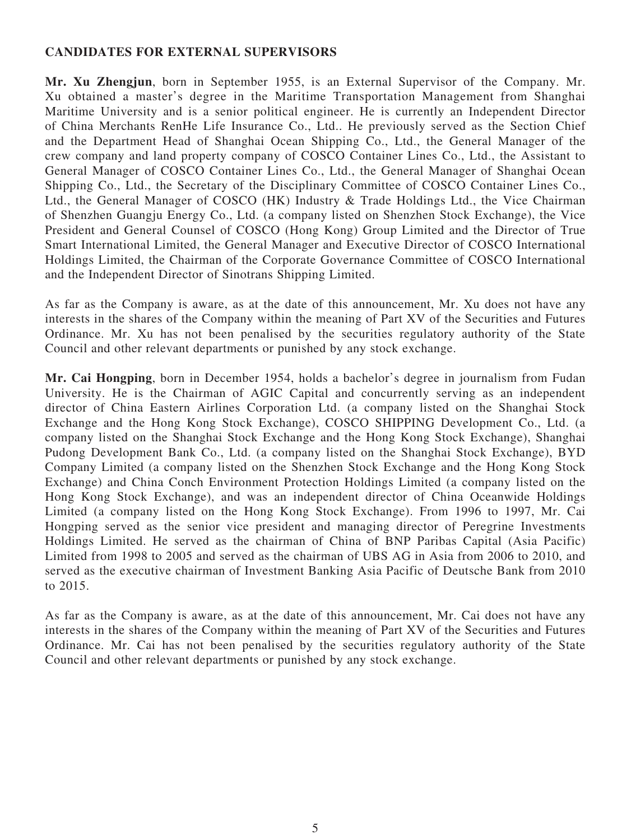#### **CANDIDATES FOR EXTERNAL SUPERVISORS**

**Mr. Xu Zhengjun**, born in September 1955, is an External Supervisor of the Company. Mr. Xu obtained a master's degree in the Maritime Transportation Management from Shanghai Maritime University and is a senior political engineer. He is currently an Independent Director of China Merchants RenHe Life Insurance Co., Ltd.. He previously served as the Section Chief and the Department Head of Shanghai Ocean Shipping Co., Ltd., the General Manager of the crew company and land property company of COSCO Container Lines Co., Ltd., the Assistant to General Manager of COSCO Container Lines Co., Ltd., the General Manager of Shanghai Ocean Shipping Co., Ltd., the Secretary of the Disciplinary Committee of COSCO Container Lines Co., Ltd., the General Manager of COSCO (HK) Industry & Trade Holdings Ltd., the Vice Chairman of Shenzhen Guangju Energy Co., Ltd. (a company listed on Shenzhen Stock Exchange), the Vice President and General Counsel of COSCO (Hong Kong) Group Limited and the Director of True Smart International Limited, the General Manager and Executive Director of COSCO International Holdings Limited, the Chairman of the Corporate Governance Committee of COSCO International and the Independent Director of Sinotrans Shipping Limited.

As far as the Company is aware, as at the date of this announcement, Mr. Xu does not have any interests in the shares of the Company within the meaning of Part XV of the Securities and Futures Ordinance. Mr. Xu has not been penalised by the securities regulatory authority of the State Council and other relevant departments or punished by any stock exchange.

**Mr. Cai Hongping**, born in December 1954, holds a bachelor's degree in journalism from Fudan University. He is the Chairman of AGIC Capital and concurrently serving as an independent director of China Eastern Airlines Corporation Ltd. (a company listed on the Shanghai Stock Exchange and the Hong Kong Stock Exchange), COSCO SHIPPING Development Co., Ltd. (a company listed on the Shanghai Stock Exchange and the Hong Kong Stock Exchange), Shanghai Pudong Development Bank Co., Ltd. (a company listed on the Shanghai Stock Exchange), BYD Company Limited (a company listed on the Shenzhen Stock Exchange and the Hong Kong Stock Exchange) and China Conch Environment Protection Holdings Limited (a company listed on the Hong Kong Stock Exchange), and was an independent director of China Oceanwide Holdings Limited (a company listed on the Hong Kong Stock Exchange). From 1996 to 1997, Mr. Cai Hongping served as the senior vice president and managing director of Peregrine Investments Holdings Limited. He served as the chairman of China of BNP Paribas Capital (Asia Pacific) Limited from 1998 to 2005 and served as the chairman of UBS AG in Asia from 2006 to 2010, and served as the executive chairman of Investment Banking Asia Pacific of Deutsche Bank from 2010 to 2015.

As far as the Company is aware, as at the date of this announcement, Mr. Cai does not have any interests in the shares of the Company within the meaning of Part XV of the Securities and Futures Ordinance. Mr. Cai has not been penalised by the securities regulatory authority of the State Council and other relevant departments or punished by any stock exchange.